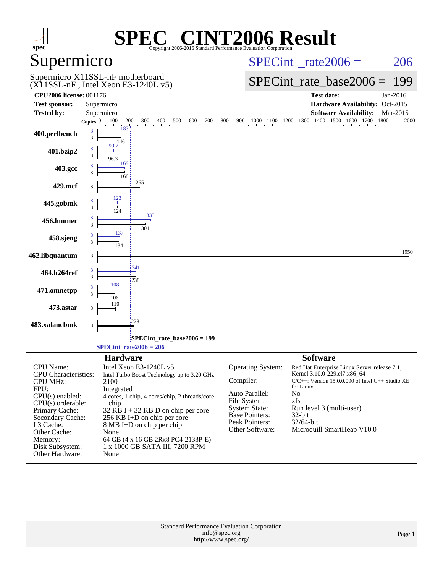| spec <sup>®</sup>                                                                                                                                                                                                                   | Copyright 2006-2016 Standard Performance Evaluation Corporation                                                                                                                                                                                                                                                                                                       | <b>TO CINT2006 Result</b>                                                                                                                                                                                                                                                                                                                                                                                                       |
|-------------------------------------------------------------------------------------------------------------------------------------------------------------------------------------------------------------------------------------|-----------------------------------------------------------------------------------------------------------------------------------------------------------------------------------------------------------------------------------------------------------------------------------------------------------------------------------------------------------------------|---------------------------------------------------------------------------------------------------------------------------------------------------------------------------------------------------------------------------------------------------------------------------------------------------------------------------------------------------------------------------------------------------------------------------------|
| Supermicro                                                                                                                                                                                                                          |                                                                                                                                                                                                                                                                                                                                                                       | $SPECint^{\circ}$ rate 2006 =<br>206                                                                                                                                                                                                                                                                                                                                                                                            |
|                                                                                                                                                                                                                                     | Supermicro X11SSL-nF motherboard<br>$(X11SSL-nF$ , Intel Xeon E3-1240L v5)                                                                                                                                                                                                                                                                                            | $SPECint$ rate base2006 =<br>199                                                                                                                                                                                                                                                                                                                                                                                                |
| <b>CPU2006 license: 001176</b><br><b>Test sponsor:</b>                                                                                                                                                                              | Supermicro                                                                                                                                                                                                                                                                                                                                                            | <b>Test date:</b><br>Jan-2016<br>Hardware Availability: Oct-2015                                                                                                                                                                                                                                                                                                                                                                |
| <b>Tested by:</b>                                                                                                                                                                                                                   | Supermicro                                                                                                                                                                                                                                                                                                                                                            | <b>Software Availability:</b><br>Mar-2015                                                                                                                                                                                                                                                                                                                                                                                       |
| 400.perlbench                                                                                                                                                                                                                       | 100<br>200<br>300<br>400<br>500<br>600<br>700<br>Copies $ 0 $<br>183<br>8<br>8<br>146                                                                                                                                                                                                                                                                                 | $\begin{array}{cccccccccc} 1000 & 1100 & 1200 & 1300 & 1400 & 1500 & 1600 & 1700 \\ & & \vert & & \vert & & \vert & & \vert \end{array}$<br>1800<br>800<br>900<br>2000                                                                                                                                                                                                                                                          |
| 401.bzip2                                                                                                                                                                                                                           | 99.7<br>8<br>8<br>96.3                                                                                                                                                                                                                                                                                                                                                |                                                                                                                                                                                                                                                                                                                                                                                                                                 |
| 403.gcc                                                                                                                                                                                                                             | 169<br>8<br>8<br>168                                                                                                                                                                                                                                                                                                                                                  |                                                                                                                                                                                                                                                                                                                                                                                                                                 |
| 429.mcf                                                                                                                                                                                                                             | 265<br>8                                                                                                                                                                                                                                                                                                                                                              |                                                                                                                                                                                                                                                                                                                                                                                                                                 |
| 445.gobmk                                                                                                                                                                                                                           |                                                                                                                                                                                                                                                                                                                                                                       |                                                                                                                                                                                                                                                                                                                                                                                                                                 |
| 456.hmmer                                                                                                                                                                                                                           | 333<br>8<br>8<br>301                                                                                                                                                                                                                                                                                                                                                  |                                                                                                                                                                                                                                                                                                                                                                                                                                 |
| 458.sjeng                                                                                                                                                                                                                           | 137<br>8                                                                                                                                                                                                                                                                                                                                                              |                                                                                                                                                                                                                                                                                                                                                                                                                                 |
| 462.libquantum                                                                                                                                                                                                                      | 8                                                                                                                                                                                                                                                                                                                                                                     | 1950                                                                                                                                                                                                                                                                                                                                                                                                                            |
| 464.h264ref                                                                                                                                                                                                                         | 8<br>$\mathbf{8}$<br>238<br>108                                                                                                                                                                                                                                                                                                                                       |                                                                                                                                                                                                                                                                                                                                                                                                                                 |
| 471.omnetpp                                                                                                                                                                                                                         | 8                                                                                                                                                                                                                                                                                                                                                                     |                                                                                                                                                                                                                                                                                                                                                                                                                                 |
| 473.astar                                                                                                                                                                                                                           | 8<br>228                                                                                                                                                                                                                                                                                                                                                              |                                                                                                                                                                                                                                                                                                                                                                                                                                 |
| 483.xalancbmk                                                                                                                                                                                                                       | 8                                                                                                                                                                                                                                                                                                                                                                     |                                                                                                                                                                                                                                                                                                                                                                                                                                 |
|                                                                                                                                                                                                                                     | SPECint_rate_base2006 = 199<br>$SPECint_rate2006 = 206$                                                                                                                                                                                                                                                                                                               |                                                                                                                                                                                                                                                                                                                                                                                                                                 |
| <b>CPU</b> Name:<br>CPU Characteristics:<br><b>CPU MHz:</b><br>FPU:<br>$CPU(s)$ enabled:<br>$CPU(s)$ orderable:<br>Primary Cache:<br>Secondary Cache:<br>L3 Cache:<br>Other Cache:<br>Memory:<br>Disk Subsystem:<br>Other Hardware: | <b>Hardware</b><br>Intel Xeon E3-1240L v5<br>Intel Turbo Boost Technology up to 3.20 GHz<br>2100<br>Integrated<br>4 cores, 1 chip, 4 cores/chip, 2 threads/core<br>1 chip<br>$32$ KB I + 32 KB D on chip per core<br>256 KB I+D on chip per core<br>8 MB I+D on chip per chip<br>None<br>64 GB (4 x 16 GB 2Rx8 PC4-2133P-E)<br>1 x 1000 GB SATA III, 7200 RPM<br>None | <b>Software</b><br>Operating System:<br>Red Hat Enterprise Linux Server release 7.1,<br>Kernel 3.10.0-229.el7.x86_64<br>Compiler:<br>C/C++: Version 15.0.0.090 of Intel C++ Studio XE<br>for Linux<br>Auto Parallel:<br>No<br>File System:<br>xfs<br><b>System State:</b><br>Run level 3 (multi-user)<br><b>Base Pointers:</b><br>32-bit<br><b>Peak Pointers:</b><br>32/64-bit<br>Microquill SmartHeap V10.0<br>Other Software: |
|                                                                                                                                                                                                                                     | <b>Standard Performance Evaluation Corporation</b><br>info@spec.org<br>http://www.spec.org/                                                                                                                                                                                                                                                                           | Page 1                                                                                                                                                                                                                                                                                                                                                                                                                          |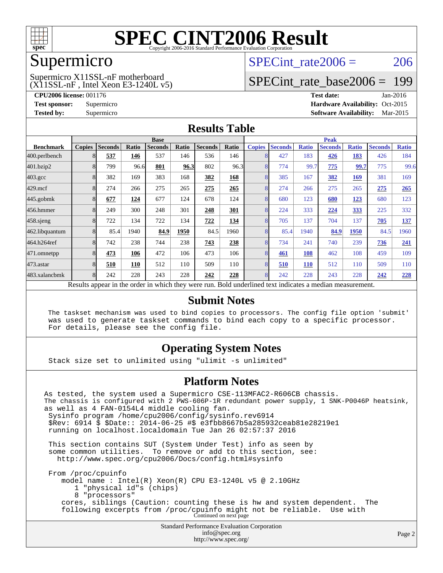

### Supermicro

#### $(X11SSL-nF$ , Intel Xeon E3-1240L v5) Supermicro X11SSL-nF motherboard

SPECint rate $2006 = 206$ 

## [SPECint\\_rate\\_base2006 =](http://www.spec.org/auto/cpu2006/Docs/result-fields.html#SPECintratebase2006) 199

**[CPU2006 license:](http://www.spec.org/auto/cpu2006/Docs/result-fields.html#CPU2006license)** 001176 **[Test date:](http://www.spec.org/auto/cpu2006/Docs/result-fields.html#Testdate)** Jan-2016 **[Test sponsor:](http://www.spec.org/auto/cpu2006/Docs/result-fields.html#Testsponsor)** Supermicro Supermicro **[Hardware Availability:](http://www.spec.org/auto/cpu2006/Docs/result-fields.html#HardwareAvailability)** Oct-2015 **[Tested by:](http://www.spec.org/auto/cpu2006/Docs/result-fields.html#Testedby)** Supermicro **Supermicro [Software Availability:](http://www.spec.org/auto/cpu2006/Docs/result-fields.html#SoftwareAvailability)** Mar-2015

#### **[Results Table](http://www.spec.org/auto/cpu2006/Docs/result-fields.html#ResultsTable)**

|                                                                                                          | <b>Base</b>   |                |       |                |       |                |       | <b>Peak</b>   |                |              |                |              |                |              |
|----------------------------------------------------------------------------------------------------------|---------------|----------------|-------|----------------|-------|----------------|-------|---------------|----------------|--------------|----------------|--------------|----------------|--------------|
| <b>Benchmark</b>                                                                                         | <b>Copies</b> | <b>Seconds</b> | Ratio | <b>Seconds</b> | Ratio | <b>Seconds</b> | Ratio | <b>Copies</b> | <b>Seconds</b> | <b>Ratio</b> | <b>Seconds</b> | <b>Ratio</b> | <b>Seconds</b> | <b>Ratio</b> |
| 400.perlbench                                                                                            |               | 537            | 146   | 537            | 146   | 536            | 146   | 8             | 427            | 183          | 426            | 183          | 426            | 184          |
| 401.bzip2                                                                                                | 8             | 799            | 96.6  | 801            | 96.3  | 802            | 96.3  | 8             | 774            | 99.7         | 775            | 99.7         | 775            | 99.6         |
| $403.\mathrm{gcc}$                                                                                       |               | 382            | 169   | 383            | 168   | 382            | 168   | 8             | 385            | 167          | 382            | 169          | 381            | 169          |
| $429$ .mcf                                                                                               | 8             | 274            | 266   | 275            | 265   | 275            | 265   | 8             | 274            | 266          | 275            | 265          | 275            | 265          |
| $445$ .gobmk                                                                                             | 8             | 677            | 124   | 677            | 124   | 678            | 124   | 8             | 680            | 123          | 680            | 123          | 680            | 123          |
| 456.hmmer                                                                                                | 8             | 249            | 300   | 248            | 301   | 248            | 301   | 8             | 224            | 333          | 224            | 333          | 225            | 332          |
| 458 sjeng                                                                                                | 8             | 722            | 134   | 722            | 134   | 722            | 134   | 8             | 705            | 137          | 704            | 137          | 705            | 137          |
| 462.libquantum                                                                                           |               | 85.4           | 1940  | 84.9           | 1950  | 84.5           | 1960  | 8             | 85.4           | 1940         | 84.9           | 1950         | 84.5           | 1960         |
| 464.h264ref                                                                                              | 8             | 742            | 238   | 744            | 238   | 743            | 238   | 8             | 734            | 241          | 740            | 239          | 736            | 241          |
| 471.omnetpp                                                                                              |               | 473            | 106   | 472            | 106   | 473            | 106   | 8             | 461            | 108          | 462            | 108          | 459            | 109          |
| 473.astar                                                                                                |               | 510            | 110   | 512            | 110   | 509            | 110   | 8             | 510            | 110          | 512            | 110          | 509            | 110          |
| 483.xalancbmk                                                                                            | 8             | 242            | 228   | 243            | 228   | 242            | 228   | 8             | 242            | 228          | 243            | 228          | 242            | 228          |
| Results appear in the order in which they were run. Bold underlined text indicates a median measurement. |               |                |       |                |       |                |       |               |                |              |                |              |                |              |

#### **[Submit Notes](http://www.spec.org/auto/cpu2006/Docs/result-fields.html#SubmitNotes)**

 The taskset mechanism was used to bind copies to processors. The config file option 'submit' was used to generate taskset commands to bind each copy to a specific processor. For details, please see the config file.

#### **[Operating System Notes](http://www.spec.org/auto/cpu2006/Docs/result-fields.html#OperatingSystemNotes)**

Stack size set to unlimited using "ulimit -s unlimited"

#### **[Platform Notes](http://www.spec.org/auto/cpu2006/Docs/result-fields.html#PlatformNotes)**

Standard Performance Evaluation Corporation [info@spec.org](mailto:info@spec.org) As tested, the system used a Supermicro CSE-113MFAC2-R606CB chassis. The chassis is configured with 2 PWS-606P-1R redundant power supply, 1 SNK-P0046P heatsink, as well as 4 FAN-0154L4 middle cooling fan. Sysinfo program /home/cpu2006/config/sysinfo.rev6914 \$Rev: 6914 \$ \$Date:: 2014-06-25 #\$ e3fbb8667b5a285932ceab81e28219e1 running on localhost.localdomain Tue Jan 26 02:57:37 2016 This section contains SUT (System Under Test) info as seen by some common utilities. To remove or add to this section, see: <http://www.spec.org/cpu2006/Docs/config.html#sysinfo> From /proc/cpuinfo model name : Intel(R) Xeon(R) CPU E3-1240L v5 @ 2.10GHz 1 "physical id"s (chips) 8 "processors" cores, siblings (Caution: counting these is hw and system dependent. The following excerpts from /proc/cpuinfo might not be reliable. Use with Continued on next page

<http://www.spec.org/>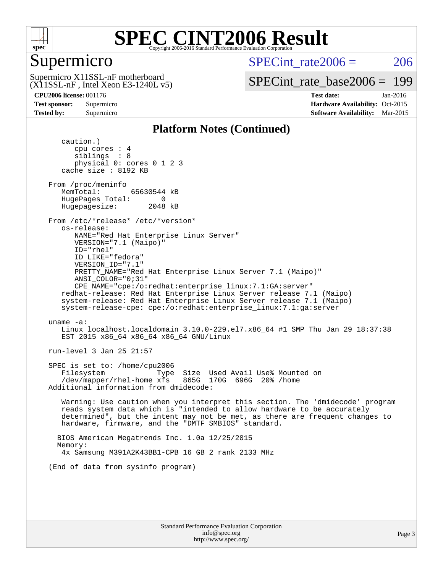

## Supermicro

SPECint rate $2006 = 206$ 

 $(X11SSL-nF$ , Intel Xeon E3-1240L v5) Supermicro X11SSL-nF motherboard

[SPECint\\_rate\\_base2006 =](http://www.spec.org/auto/cpu2006/Docs/result-fields.html#SPECintratebase2006) 199

**[CPU2006 license:](http://www.spec.org/auto/cpu2006/Docs/result-fields.html#CPU2006license)** 001176 **[Test date:](http://www.spec.org/auto/cpu2006/Docs/result-fields.html#Testdate)** Jan-2016 **[Test sponsor:](http://www.spec.org/auto/cpu2006/Docs/result-fields.html#Testsponsor)** Supermicro Supermicro **[Hardware Availability:](http://www.spec.org/auto/cpu2006/Docs/result-fields.html#HardwareAvailability)** Oct-2015 **[Tested by:](http://www.spec.org/auto/cpu2006/Docs/result-fields.html#Testedby)** Supermicro **Supermicro [Software Availability:](http://www.spec.org/auto/cpu2006/Docs/result-fields.html#SoftwareAvailability)** Mar-2015

#### **[Platform Notes \(Continued\)](http://www.spec.org/auto/cpu2006/Docs/result-fields.html#PlatformNotes)**

 caution.) cpu cores : 4 siblings : 8 physical 0: cores 0 1 2 3 cache size : 8192 KB From /proc/meminfo MemTotal: 65630544 kB HugePages\_Total: 0<br>Hugepagesize: 2048 kB Hugepagesize: From /etc/\*release\* /etc/\*version\* os-release: NAME="Red Hat Enterprise Linux Server" VERSION="7.1 (Maipo)" ID="rhel" ID\_LIKE="fedora" VERSION\_ID="7.1" PRETTY\_NAME="Red Hat Enterprise Linux Server 7.1 (Maipo)" ANSI\_COLOR="0;31" CPE\_NAME="cpe:/o:redhat:enterprise\_linux:7.1:GA:server" redhat-release: Red Hat Enterprise Linux Server release 7.1 (Maipo) system-release: Red Hat Enterprise Linux Server release 7.1 (Maipo) system-release-cpe: cpe:/o:redhat:enterprise\_linux:7.1:ga:server uname -a: Linux localhost.localdomain 3.10.0-229.el7.x86\_64 #1 SMP Thu Jan 29 18:37:38 EST 2015 x86\_64 x86\_64 x86\_64 GNU/Linux run-level 3 Jan 25 21:57 SPEC is set to: /home/cpu2006 Filesystem Type Size Used Avail Use% Mounted on  $/$ dev/mapper/rhel-home xfs Additional information from dmidecode: Warning: Use caution when you interpret this section. The 'dmidecode' program reads system data which is "intended to allow hardware to be accurately determined", but the intent may not be met, as there are frequent changes to hardware, firmware, and the "DMTF SMBIOS" standard. BIOS American Megatrends Inc. 1.0a 12/25/2015 Memory: 4x Samsung M391A2K43BB1-CPB 16 GB 2 rank 2133 MHz (End of data from sysinfo program)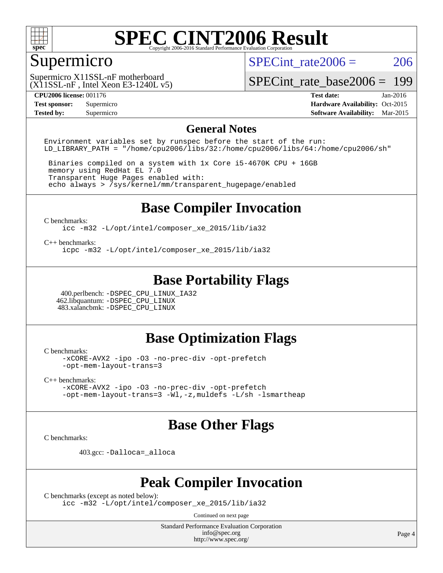

## Supermicro

SPECint rate $2006 = 206$ 

 $(X11SSL-nF$ , Intel Xeon E3-1240L v5) Supermicro X11SSL-nF motherboard

[SPECint\\_rate\\_base2006 =](http://www.spec.org/auto/cpu2006/Docs/result-fields.html#SPECintratebase2006) 199

**[CPU2006 license:](http://www.spec.org/auto/cpu2006/Docs/result-fields.html#CPU2006license)** 001176 **[Test date:](http://www.spec.org/auto/cpu2006/Docs/result-fields.html#Testdate)** Jan-2016 **[Test sponsor:](http://www.spec.org/auto/cpu2006/Docs/result-fields.html#Testsponsor)** Supermicro Supermicro **[Hardware Availability:](http://www.spec.org/auto/cpu2006/Docs/result-fields.html#HardwareAvailability)** Oct-2015 **[Tested by:](http://www.spec.org/auto/cpu2006/Docs/result-fields.html#Testedby)** Supermicro **Supermicro [Software Availability:](http://www.spec.org/auto/cpu2006/Docs/result-fields.html#SoftwareAvailability)** Mar-2015

#### **[General Notes](http://www.spec.org/auto/cpu2006/Docs/result-fields.html#GeneralNotes)**

Environment variables set by runspec before the start of the run: LD LIBRARY PATH = "/home/cpu2006/libs/32:/home/cpu2006/libs/64:/home/cpu2006/sh"

 Binaries compiled on a system with 1x Core i5-4670K CPU + 16GB memory using RedHat EL 7.0 Transparent Huge Pages enabled with: echo always > /sys/kernel/mm/transparent\_hugepage/enabled

### **[Base Compiler Invocation](http://www.spec.org/auto/cpu2006/Docs/result-fields.html#BaseCompilerInvocation)**

[C benchmarks](http://www.spec.org/auto/cpu2006/Docs/result-fields.html#Cbenchmarks):

[icc -m32 -L/opt/intel/composer\\_xe\\_2015/lib/ia32](http://www.spec.org/cpu2006/results/res2016q1/cpu2006-20160206-38987.flags.html#user_CCbase_intel_icc_011b86df29f8c679b747245588698a4d)

[C++ benchmarks:](http://www.spec.org/auto/cpu2006/Docs/result-fields.html#CXXbenchmarks)

[icpc -m32 -L/opt/intel/composer\\_xe\\_2015/lib/ia32](http://www.spec.org/cpu2006/results/res2016q1/cpu2006-20160206-38987.flags.html#user_CXXbase_intel_icpc_c2c99686a1a582c3e0de0b4806b02cea)

### **[Base Portability Flags](http://www.spec.org/auto/cpu2006/Docs/result-fields.html#BasePortabilityFlags)**

 400.perlbench: [-DSPEC\\_CPU\\_LINUX\\_IA32](http://www.spec.org/cpu2006/results/res2016q1/cpu2006-20160206-38987.flags.html#b400.perlbench_baseCPORTABILITY_DSPEC_CPU_LINUX_IA32) 462.libquantum: [-DSPEC\\_CPU\\_LINUX](http://www.spec.org/cpu2006/results/res2016q1/cpu2006-20160206-38987.flags.html#b462.libquantum_baseCPORTABILITY_DSPEC_CPU_LINUX) 483.xalancbmk: [-DSPEC\\_CPU\\_LINUX](http://www.spec.org/cpu2006/results/res2016q1/cpu2006-20160206-38987.flags.html#b483.xalancbmk_baseCXXPORTABILITY_DSPEC_CPU_LINUX)

#### **[Base Optimization Flags](http://www.spec.org/auto/cpu2006/Docs/result-fields.html#BaseOptimizationFlags)**

[C benchmarks](http://www.spec.org/auto/cpu2006/Docs/result-fields.html#Cbenchmarks):

[-xCORE-AVX2](http://www.spec.org/cpu2006/results/res2016q1/cpu2006-20160206-38987.flags.html#user_CCbase_f-xAVX2_5f5fc0cbe2c9f62c816d3e45806c70d7) [-ipo](http://www.spec.org/cpu2006/results/res2016q1/cpu2006-20160206-38987.flags.html#user_CCbase_f-ipo) [-O3](http://www.spec.org/cpu2006/results/res2016q1/cpu2006-20160206-38987.flags.html#user_CCbase_f-O3) [-no-prec-div](http://www.spec.org/cpu2006/results/res2016q1/cpu2006-20160206-38987.flags.html#user_CCbase_f-no-prec-div) [-opt-prefetch](http://www.spec.org/cpu2006/results/res2016q1/cpu2006-20160206-38987.flags.html#user_CCbase_f-opt-prefetch) [-opt-mem-layout-trans=3](http://www.spec.org/cpu2006/results/res2016q1/cpu2006-20160206-38987.flags.html#user_CCbase_f-opt-mem-layout-trans_a7b82ad4bd7abf52556d4961a2ae94d5)

[C++ benchmarks:](http://www.spec.org/auto/cpu2006/Docs/result-fields.html#CXXbenchmarks)

[-xCORE-AVX2](http://www.spec.org/cpu2006/results/res2016q1/cpu2006-20160206-38987.flags.html#user_CXXbase_f-xAVX2_5f5fc0cbe2c9f62c816d3e45806c70d7) [-ipo](http://www.spec.org/cpu2006/results/res2016q1/cpu2006-20160206-38987.flags.html#user_CXXbase_f-ipo) [-O3](http://www.spec.org/cpu2006/results/res2016q1/cpu2006-20160206-38987.flags.html#user_CXXbase_f-O3) [-no-prec-div](http://www.spec.org/cpu2006/results/res2016q1/cpu2006-20160206-38987.flags.html#user_CXXbase_f-no-prec-div) [-opt-prefetch](http://www.spec.org/cpu2006/results/res2016q1/cpu2006-20160206-38987.flags.html#user_CXXbase_f-opt-prefetch) [-opt-mem-layout-trans=3](http://www.spec.org/cpu2006/results/res2016q1/cpu2006-20160206-38987.flags.html#user_CXXbase_f-opt-mem-layout-trans_a7b82ad4bd7abf52556d4961a2ae94d5) [-Wl,-z,muldefs](http://www.spec.org/cpu2006/results/res2016q1/cpu2006-20160206-38987.flags.html#user_CXXbase_link_force_multiple1_74079c344b956b9658436fd1b6dd3a8a) [-L/sh -lsmartheap](http://www.spec.org/cpu2006/results/res2016q1/cpu2006-20160206-38987.flags.html#user_CXXbase_SmartHeap_32f6c82aa1ed9c52345d30cf6e4a0499)

### **[Base Other Flags](http://www.spec.org/auto/cpu2006/Docs/result-fields.html#BaseOtherFlags)**

[C benchmarks](http://www.spec.org/auto/cpu2006/Docs/result-fields.html#Cbenchmarks):

403.gcc: [-Dalloca=\\_alloca](http://www.spec.org/cpu2006/results/res2016q1/cpu2006-20160206-38987.flags.html#b403.gcc_baseEXTRA_CFLAGS_Dalloca_be3056838c12de2578596ca5467af7f3)

#### **[Peak Compiler Invocation](http://www.spec.org/auto/cpu2006/Docs/result-fields.html#PeakCompilerInvocation)**

[C benchmarks \(except as noted below\)](http://www.spec.org/auto/cpu2006/Docs/result-fields.html#Cbenchmarksexceptasnotedbelow):

[icc -m32 -L/opt/intel/composer\\_xe\\_2015/lib/ia32](http://www.spec.org/cpu2006/results/res2016q1/cpu2006-20160206-38987.flags.html#user_CCpeak_intel_icc_011b86df29f8c679b747245588698a4d)

Continued on next page

Standard Performance Evaluation Corporation [info@spec.org](mailto:info@spec.org) <http://www.spec.org/>

Page 4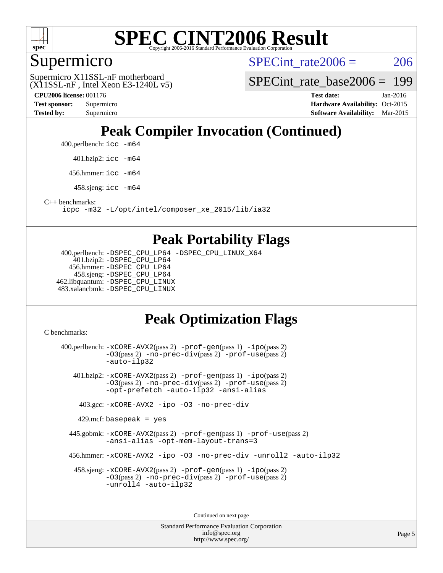

### Supermicro

SPECint rate $2006 = 206$ 

 $(X11SSL-nF$ , Intel Xeon E3-1240L v5) Supermicro X11SSL-nF motherboard

SPECint rate base  $2006 = 199$ 

**[CPU2006 license:](http://www.spec.org/auto/cpu2006/Docs/result-fields.html#CPU2006license)** 001176 **[Test date:](http://www.spec.org/auto/cpu2006/Docs/result-fields.html#Testdate)** Jan-2016

**[Test sponsor:](http://www.spec.org/auto/cpu2006/Docs/result-fields.html#Testsponsor)** Supermicro Supermicro **[Hardware Availability:](http://www.spec.org/auto/cpu2006/Docs/result-fields.html#HardwareAvailability)** Oct-2015 **[Tested by:](http://www.spec.org/auto/cpu2006/Docs/result-fields.html#Testedby)** Supermicro **Supermicro [Software Availability:](http://www.spec.org/auto/cpu2006/Docs/result-fields.html#SoftwareAvailability)** Mar-2015

## **[Peak Compiler Invocation \(Continued\)](http://www.spec.org/auto/cpu2006/Docs/result-fields.html#PeakCompilerInvocation)**

400.perlbench: [icc -m64](http://www.spec.org/cpu2006/results/res2016q1/cpu2006-20160206-38987.flags.html#user_peakCCLD400_perlbench_intel_icc_64bit_bda6cc9af1fdbb0edc3795bac97ada53)

401.bzip2: [icc -m64](http://www.spec.org/cpu2006/results/res2016q1/cpu2006-20160206-38987.flags.html#user_peakCCLD401_bzip2_intel_icc_64bit_bda6cc9af1fdbb0edc3795bac97ada53)

456.hmmer: [icc -m64](http://www.spec.org/cpu2006/results/res2016q1/cpu2006-20160206-38987.flags.html#user_peakCCLD456_hmmer_intel_icc_64bit_bda6cc9af1fdbb0edc3795bac97ada53)

458.sjeng: [icc -m64](http://www.spec.org/cpu2006/results/res2016q1/cpu2006-20160206-38987.flags.html#user_peakCCLD458_sjeng_intel_icc_64bit_bda6cc9af1fdbb0edc3795bac97ada53)

[C++ benchmarks:](http://www.spec.org/auto/cpu2006/Docs/result-fields.html#CXXbenchmarks)

[icpc -m32 -L/opt/intel/composer\\_xe\\_2015/lib/ia32](http://www.spec.org/cpu2006/results/res2016q1/cpu2006-20160206-38987.flags.html#user_CXXpeak_intel_icpc_c2c99686a1a582c3e0de0b4806b02cea)

#### **[Peak Portability Flags](http://www.spec.org/auto/cpu2006/Docs/result-fields.html#PeakPortabilityFlags)**

 400.perlbench: [-DSPEC\\_CPU\\_LP64](http://www.spec.org/cpu2006/results/res2016q1/cpu2006-20160206-38987.flags.html#b400.perlbench_peakCPORTABILITY_DSPEC_CPU_LP64) [-DSPEC\\_CPU\\_LINUX\\_X64](http://www.spec.org/cpu2006/results/res2016q1/cpu2006-20160206-38987.flags.html#b400.perlbench_peakCPORTABILITY_DSPEC_CPU_LINUX_X64) 401.bzip2: [-DSPEC\\_CPU\\_LP64](http://www.spec.org/cpu2006/results/res2016q1/cpu2006-20160206-38987.flags.html#suite_peakCPORTABILITY401_bzip2_DSPEC_CPU_LP64) 456.hmmer: [-DSPEC\\_CPU\\_LP64](http://www.spec.org/cpu2006/results/res2016q1/cpu2006-20160206-38987.flags.html#suite_peakCPORTABILITY456_hmmer_DSPEC_CPU_LP64) 458.sjeng: [-DSPEC\\_CPU\\_LP64](http://www.spec.org/cpu2006/results/res2016q1/cpu2006-20160206-38987.flags.html#suite_peakCPORTABILITY458_sjeng_DSPEC_CPU_LP64) 462.libquantum: [-DSPEC\\_CPU\\_LINUX](http://www.spec.org/cpu2006/results/res2016q1/cpu2006-20160206-38987.flags.html#b462.libquantum_peakCPORTABILITY_DSPEC_CPU_LINUX) 483.xalancbmk: [-DSPEC\\_CPU\\_LINUX](http://www.spec.org/cpu2006/results/res2016q1/cpu2006-20160206-38987.flags.html#b483.xalancbmk_peakCXXPORTABILITY_DSPEC_CPU_LINUX)

## **[Peak Optimization Flags](http://www.spec.org/auto/cpu2006/Docs/result-fields.html#PeakOptimizationFlags)**

[C benchmarks](http://www.spec.org/auto/cpu2006/Docs/result-fields.html#Cbenchmarks):

 400.perlbench: [-xCORE-AVX2](http://www.spec.org/cpu2006/results/res2016q1/cpu2006-20160206-38987.flags.html#user_peakPASS2_CFLAGSPASS2_LDCFLAGS400_perlbench_f-xAVX2_5f5fc0cbe2c9f62c816d3e45806c70d7)(pass 2) [-prof-gen](http://www.spec.org/cpu2006/results/res2016q1/cpu2006-20160206-38987.flags.html#user_peakPASS1_CFLAGSPASS1_LDCFLAGS400_perlbench_prof_gen_e43856698f6ca7b7e442dfd80e94a8fc)(pass 1) [-ipo](http://www.spec.org/cpu2006/results/res2016q1/cpu2006-20160206-38987.flags.html#user_peakPASS2_CFLAGSPASS2_LDCFLAGS400_perlbench_f-ipo)(pass 2) [-O3](http://www.spec.org/cpu2006/results/res2016q1/cpu2006-20160206-38987.flags.html#user_peakPASS2_CFLAGSPASS2_LDCFLAGS400_perlbench_f-O3)(pass 2) [-no-prec-div](http://www.spec.org/cpu2006/results/res2016q1/cpu2006-20160206-38987.flags.html#user_peakPASS2_CFLAGSPASS2_LDCFLAGS400_perlbench_f-no-prec-div)(pass 2) [-prof-use](http://www.spec.org/cpu2006/results/res2016q1/cpu2006-20160206-38987.flags.html#user_peakPASS2_CFLAGSPASS2_LDCFLAGS400_perlbench_prof_use_bccf7792157ff70d64e32fe3e1250b55)(pass 2) [-auto-ilp32](http://www.spec.org/cpu2006/results/res2016q1/cpu2006-20160206-38987.flags.html#user_peakCOPTIMIZE400_perlbench_f-auto-ilp32) 401.bzip2: [-xCORE-AVX2](http://www.spec.org/cpu2006/results/res2016q1/cpu2006-20160206-38987.flags.html#user_peakPASS2_CFLAGSPASS2_LDCFLAGS401_bzip2_f-xAVX2_5f5fc0cbe2c9f62c816d3e45806c70d7)(pass 2) [-prof-gen](http://www.spec.org/cpu2006/results/res2016q1/cpu2006-20160206-38987.flags.html#user_peakPASS1_CFLAGSPASS1_LDCFLAGS401_bzip2_prof_gen_e43856698f6ca7b7e442dfd80e94a8fc)(pass 1) [-ipo](http://www.spec.org/cpu2006/results/res2016q1/cpu2006-20160206-38987.flags.html#user_peakPASS2_CFLAGSPASS2_LDCFLAGS401_bzip2_f-ipo)(pass 2) [-O3](http://www.spec.org/cpu2006/results/res2016q1/cpu2006-20160206-38987.flags.html#user_peakPASS2_CFLAGSPASS2_LDCFLAGS401_bzip2_f-O3)(pass 2) [-no-prec-div](http://www.spec.org/cpu2006/results/res2016q1/cpu2006-20160206-38987.flags.html#user_peakPASS2_CFLAGSPASS2_LDCFLAGS401_bzip2_f-no-prec-div)(pass 2) [-prof-use](http://www.spec.org/cpu2006/results/res2016q1/cpu2006-20160206-38987.flags.html#user_peakPASS2_CFLAGSPASS2_LDCFLAGS401_bzip2_prof_use_bccf7792157ff70d64e32fe3e1250b55)(pass 2) [-opt-prefetch](http://www.spec.org/cpu2006/results/res2016q1/cpu2006-20160206-38987.flags.html#user_peakCOPTIMIZE401_bzip2_f-opt-prefetch) [-auto-ilp32](http://www.spec.org/cpu2006/results/res2016q1/cpu2006-20160206-38987.flags.html#user_peakCOPTIMIZE401_bzip2_f-auto-ilp32) [-ansi-alias](http://www.spec.org/cpu2006/results/res2016q1/cpu2006-20160206-38987.flags.html#user_peakCOPTIMIZE401_bzip2_f-ansi-alias) 403.gcc: [-xCORE-AVX2](http://www.spec.org/cpu2006/results/res2016q1/cpu2006-20160206-38987.flags.html#user_peakCOPTIMIZE403_gcc_f-xAVX2_5f5fc0cbe2c9f62c816d3e45806c70d7) [-ipo](http://www.spec.org/cpu2006/results/res2016q1/cpu2006-20160206-38987.flags.html#user_peakCOPTIMIZE403_gcc_f-ipo) [-O3](http://www.spec.org/cpu2006/results/res2016q1/cpu2006-20160206-38987.flags.html#user_peakCOPTIMIZE403_gcc_f-O3) [-no-prec-div](http://www.spec.org/cpu2006/results/res2016q1/cpu2006-20160206-38987.flags.html#user_peakCOPTIMIZE403_gcc_f-no-prec-div)  $429$ .mcf: basepeak = yes 445.gobmk: [-xCORE-AVX2](http://www.spec.org/cpu2006/results/res2016q1/cpu2006-20160206-38987.flags.html#user_peakPASS2_CFLAGSPASS2_LDCFLAGS445_gobmk_f-xAVX2_5f5fc0cbe2c9f62c816d3e45806c70d7)(pass 2) [-prof-gen](http://www.spec.org/cpu2006/results/res2016q1/cpu2006-20160206-38987.flags.html#user_peakPASS1_CFLAGSPASS1_LDCFLAGS445_gobmk_prof_gen_e43856698f6ca7b7e442dfd80e94a8fc)(pass 1) [-prof-use](http://www.spec.org/cpu2006/results/res2016q1/cpu2006-20160206-38987.flags.html#user_peakPASS2_CFLAGSPASS2_LDCFLAGS445_gobmk_prof_use_bccf7792157ff70d64e32fe3e1250b55)(pass 2) [-ansi-alias](http://www.spec.org/cpu2006/results/res2016q1/cpu2006-20160206-38987.flags.html#user_peakCOPTIMIZE445_gobmk_f-ansi-alias) [-opt-mem-layout-trans=3](http://www.spec.org/cpu2006/results/res2016q1/cpu2006-20160206-38987.flags.html#user_peakCOPTIMIZE445_gobmk_f-opt-mem-layout-trans_a7b82ad4bd7abf52556d4961a2ae94d5) 456.hmmer: [-xCORE-AVX2](http://www.spec.org/cpu2006/results/res2016q1/cpu2006-20160206-38987.flags.html#user_peakCOPTIMIZE456_hmmer_f-xAVX2_5f5fc0cbe2c9f62c816d3e45806c70d7) [-ipo](http://www.spec.org/cpu2006/results/res2016q1/cpu2006-20160206-38987.flags.html#user_peakCOPTIMIZE456_hmmer_f-ipo) [-O3](http://www.spec.org/cpu2006/results/res2016q1/cpu2006-20160206-38987.flags.html#user_peakCOPTIMIZE456_hmmer_f-O3) [-no-prec-div](http://www.spec.org/cpu2006/results/res2016q1/cpu2006-20160206-38987.flags.html#user_peakCOPTIMIZE456_hmmer_f-no-prec-div) [-unroll2](http://www.spec.org/cpu2006/results/res2016q1/cpu2006-20160206-38987.flags.html#user_peakCOPTIMIZE456_hmmer_f-unroll_784dae83bebfb236979b41d2422d7ec2) [-auto-ilp32](http://www.spec.org/cpu2006/results/res2016q1/cpu2006-20160206-38987.flags.html#user_peakCOPTIMIZE456_hmmer_f-auto-ilp32) 458.sjeng: [-xCORE-AVX2](http://www.spec.org/cpu2006/results/res2016q1/cpu2006-20160206-38987.flags.html#user_peakPASS2_CFLAGSPASS2_LDCFLAGS458_sjeng_f-xAVX2_5f5fc0cbe2c9f62c816d3e45806c70d7)(pass 2) [-prof-gen](http://www.spec.org/cpu2006/results/res2016q1/cpu2006-20160206-38987.flags.html#user_peakPASS1_CFLAGSPASS1_LDCFLAGS458_sjeng_prof_gen_e43856698f6ca7b7e442dfd80e94a8fc)(pass 1) [-ipo](http://www.spec.org/cpu2006/results/res2016q1/cpu2006-20160206-38987.flags.html#user_peakPASS2_CFLAGSPASS2_LDCFLAGS458_sjeng_f-ipo)(pass 2) [-O3](http://www.spec.org/cpu2006/results/res2016q1/cpu2006-20160206-38987.flags.html#user_peakPASS2_CFLAGSPASS2_LDCFLAGS458_sjeng_f-O3)(pass 2) [-no-prec-div](http://www.spec.org/cpu2006/results/res2016q1/cpu2006-20160206-38987.flags.html#user_peakPASS2_CFLAGSPASS2_LDCFLAGS458_sjeng_f-no-prec-div)(pass 2) [-prof-use](http://www.spec.org/cpu2006/results/res2016q1/cpu2006-20160206-38987.flags.html#user_peakPASS2_CFLAGSPASS2_LDCFLAGS458_sjeng_prof_use_bccf7792157ff70d64e32fe3e1250b55)(pass 2) [-unroll4](http://www.spec.org/cpu2006/results/res2016q1/cpu2006-20160206-38987.flags.html#user_peakCOPTIMIZE458_sjeng_f-unroll_4e5e4ed65b7fd20bdcd365bec371b81f) [-auto-ilp32](http://www.spec.org/cpu2006/results/res2016q1/cpu2006-20160206-38987.flags.html#user_peakCOPTIMIZE458_sjeng_f-auto-ilp32)

> Standard Performance Evaluation Corporation [info@spec.org](mailto:info@spec.org) <http://www.spec.org/>

Continued on next page